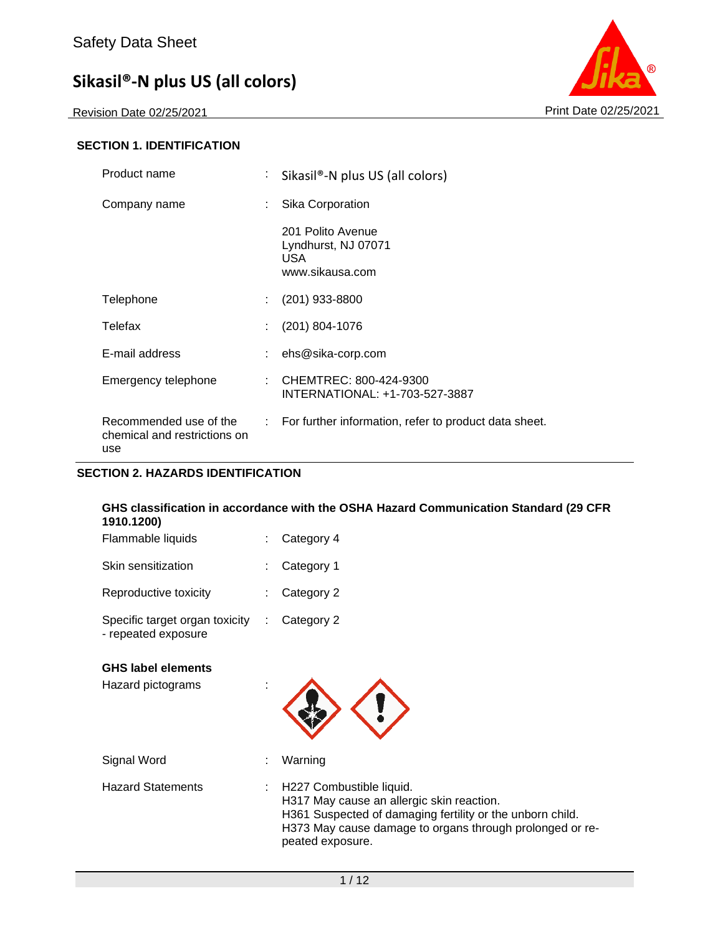Revision Date 02/25/2021 Print Date 02/25/2021



### **SECTION 1. IDENTIFICATION**

| Product name                                                  | t.   | Sikasil <sup>®</sup> -N plus US (all colors)                        |
|---------------------------------------------------------------|------|---------------------------------------------------------------------|
| Company name                                                  | t.   | Sika Corporation                                                    |
|                                                               |      | 201 Polito Avenue<br>Lyndhurst, NJ 07071<br>USA.<br>www.sikausa.com |
| Telephone                                                     | ÷    | $(201)$ 933-8800                                                    |
| Telefax                                                       | ÷    | $(201)$ 804-1076                                                    |
| E-mail address                                                |      | ehs@sika-corp.com                                                   |
| Emergency telephone                                           | ÷    | CHEMTREC: 800-424-9300<br>INTERNATIONAL: +1-703-527-3887            |
| Recommended use of the<br>chemical and restrictions on<br>use | t in | For further information, refer to product data sheet.               |

### **SECTION 2. HAZARDS IDENTIFICATION**

### **GHS classification in accordance with the OSHA Hazard Communication Standard (29 CFR 1910.1200)**

| Flammable liquids                                     | $\therefore$ Category 4 |
|-------------------------------------------------------|-------------------------|
| Skin sensitization                                    | : Category 1            |
| Reproductive toxicity                                 | $\therefore$ Category 2 |
| Specific target organ toxicity<br>- repeated exposure | $\therefore$ Category 2 |

### **GHS label elements**

| Hazard pictograms | ٠<br>٠            |
|-------------------|-------------------|
| Signal Word       | Warning<br>٠<br>٠ |

| <b>Hazard Statements</b> | : H227 Combustible liquid.                                |
|--------------------------|-----------------------------------------------------------|
|                          | H317 May cause an allergic skin reaction.                 |
|                          | H361 Suspected of damaging fertility or the unborn child. |
|                          | H373 May cause damage to organs through prolonged or re-  |
|                          | peated exposure.                                          |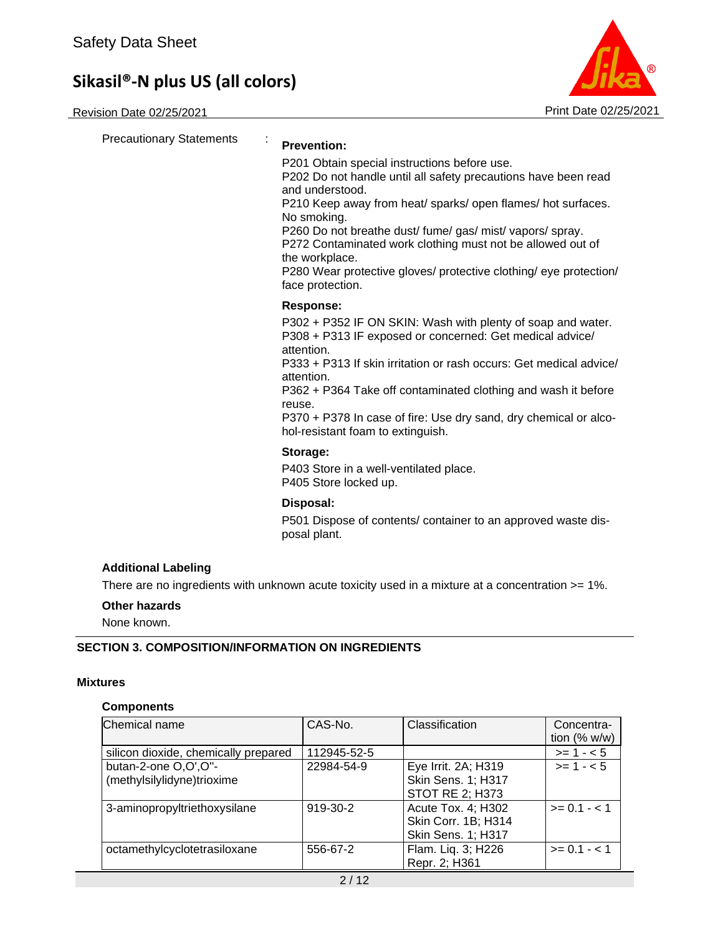

| <b>Precautionary Statements</b>                          | <b>Prevention:</b>                                                                                                                                                                                                                                                                                                                                                                                                                                     |
|----------------------------------------------------------|--------------------------------------------------------------------------------------------------------------------------------------------------------------------------------------------------------------------------------------------------------------------------------------------------------------------------------------------------------------------------------------------------------------------------------------------------------|
|                                                          | P201 Obtain special instructions before use.<br>P202 Do not handle until all safety precautions have been read<br>and understood.<br>P210 Keep away from heat/ sparks/ open flames/ hot surfaces.<br>No smoking.<br>P260 Do not breathe dust/ fume/ gas/ mist/ vapors/ spray.<br>P272 Contaminated work clothing must not be allowed out of<br>the workplace.<br>P280 Wear protective gloves/ protective clothing/ eye protection/<br>face protection. |
|                                                          | <b>Response:</b>                                                                                                                                                                                                                                                                                                                                                                                                                                       |
|                                                          | P302 + P352 IF ON SKIN: Wash with plenty of soap and water.<br>P308 + P313 IF exposed or concerned: Get medical advice/<br>attention.<br>P333 + P313 If skin irritation or rash occurs: Get medical advice/<br>attention.<br>P362 + P364 Take off contaminated clothing and wash it before<br>reuse.<br>P370 + P378 In case of fire: Use dry sand, dry chemical or alco-<br>hol-resistant foam to extinguish.                                          |
|                                                          | Storage:                                                                                                                                                                                                                                                                                                                                                                                                                                               |
|                                                          | P403 Store in a well-ventilated place.<br>P405 Store locked up.                                                                                                                                                                                                                                                                                                                                                                                        |
|                                                          | Disposal:                                                                                                                                                                                                                                                                                                                                                                                                                                              |
|                                                          | P501 Dispose of contents/ container to an approved waste dis-<br>posal plant.                                                                                                                                                                                                                                                                                                                                                                          |
| <b>Additional Labeling</b>                               |                                                                                                                                                                                                                                                                                                                                                                                                                                                        |
|                                                          | There are no ingredients with unknown acute toxicity used in a mixture at a concentration >= 1%.                                                                                                                                                                                                                                                                                                                                                       |
| Other hazards                                            |                                                                                                                                                                                                                                                                                                                                                                                                                                                        |
| None known.                                              |                                                                                                                                                                                                                                                                                                                                                                                                                                                        |
| <b>SECTION 3. COMPOSITION/INFORMATION ON INGREDIENTS</b> |                                                                                                                                                                                                                                                                                                                                                                                                                                                        |
| <b>Mixtures</b>                                          |                                                                                                                                                                                                                                                                                                                                                                                                                                                        |

# **Components**

| Chemical name                        | CAS-No.     | Classification            | Concentra-<br>tion $(% w/w)$ |
|--------------------------------------|-------------|---------------------------|------------------------------|
| silicon dioxide, chemically prepared | 112945-52-5 |                           | $>= 1 - 5$                   |
| butan-2-one O,O',O"-                 | 22984-54-9  | Eye Irrit. 2A; H319       | $>= 1 - 5$                   |
| (methylsilylidyne)trioxime           |             | Skin Sens. 1; H317        |                              |
|                                      |             | <b>STOT RE 2; H373</b>    |                              |
| 3-aminopropyltriethoxysilane         | 919-30-2    | Acute Tox. 4; H302        | $>= 0.1 - 1.1$               |
|                                      |             | Skin Corr. 1B; H314       |                              |
|                                      |             | <b>Skin Sens. 1; H317</b> |                              |
| octamethylcyclotetrasiloxane         | 556-67-2    | Flam. Liq. 3; H226        | $>= 0.1 - 1.1$               |
|                                      |             | Repr. 2; H361             |                              |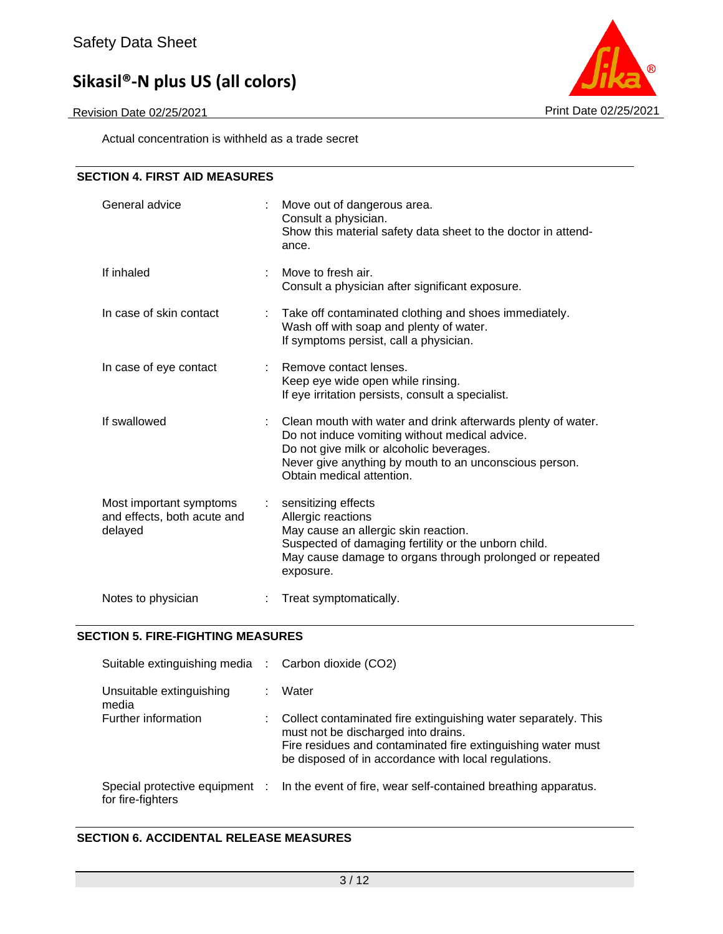Revision Date 02/25/2021 **Print Date 02/25/2021** Print Date 02/25/2021

Actual concentration is withheld as a trade secret



### **SECTION 5. FIRE-FIGHTING MEASURES**

| Suitable extinguishing media :                      |    | Carbon dioxide (CO2)                                                                                                                                                                                                          |
|-----------------------------------------------------|----|-------------------------------------------------------------------------------------------------------------------------------------------------------------------------------------------------------------------------------|
| Unsuitable extinguishing<br>media                   |    | Water                                                                                                                                                                                                                         |
| Further information                                 | ÷. | Collect contaminated fire extinguishing water separately. This<br>must not be discharged into drains.<br>Fire residues and contaminated fire extinguishing water must<br>be disposed of in accordance with local regulations. |
| Special protective equipment :<br>for fire-fighters |    | In the event of fire, wear self-contained breathing apparatus.                                                                                                                                                                |

### **SECTION 6. ACCIDENTAL RELEASE MEASURES**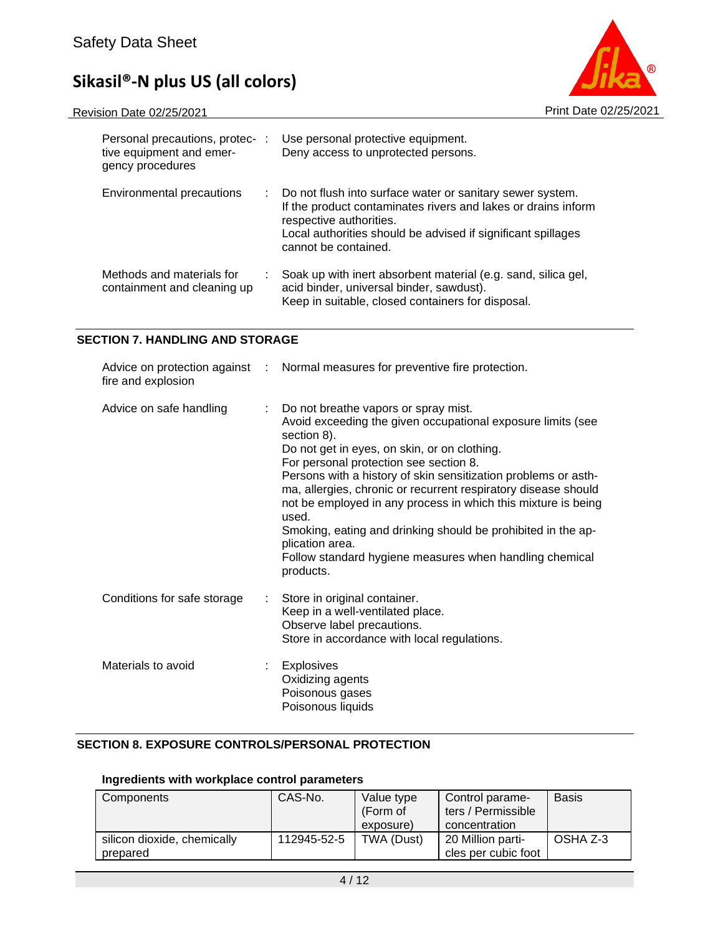

| Personal precautions, protec-:<br>tive equipment and emer-<br>gency procedures | Use personal protective equipment.<br>Deny access to unprotected persons.                                                                                                                                                                       |
|--------------------------------------------------------------------------------|-------------------------------------------------------------------------------------------------------------------------------------------------------------------------------------------------------------------------------------------------|
| Environmental precautions                                                      | : Do not flush into surface water or sanitary sewer system.<br>If the product contaminates rivers and lakes or drains inform<br>respective authorities.<br>Local authorities should be advised if significant spillages<br>cannot be contained. |
| Methods and materials for<br>containment and cleaning up                       | Soak up with inert absorbent material (e.g. sand, silica gel,<br>acid binder, universal binder, sawdust).<br>Keep in suitable, closed containers for disposal.                                                                                  |

### **SECTION 7. HANDLING AND STORAGE**

| fire and explosion           | Advice on protection against : Normal measures for preventive fire protection.                                                                                                                                                                                                                                                                                                                                                                                                                                                                                                        |
|------------------------------|---------------------------------------------------------------------------------------------------------------------------------------------------------------------------------------------------------------------------------------------------------------------------------------------------------------------------------------------------------------------------------------------------------------------------------------------------------------------------------------------------------------------------------------------------------------------------------------|
| Advice on safe handling<br>÷ | Do not breathe vapors or spray mist.<br>Avoid exceeding the given occupational exposure limits (see<br>section 8).<br>Do not get in eyes, on skin, or on clothing.<br>For personal protection see section 8.<br>Persons with a history of skin sensitization problems or asth-<br>ma, allergies, chronic or recurrent respiratory disease should<br>not be employed in any process in which this mixture is being<br>used.<br>Smoking, eating and drinking should be prohibited in the ap-<br>plication area.<br>Follow standard hygiene measures when handling chemical<br>products. |
| Conditions for safe storage  | Store in original container.<br>Keep in a well-ventilated place.<br>Observe label precautions.<br>Store in accordance with local regulations.                                                                                                                                                                                                                                                                                                                                                                                                                                         |
| Materials to avoid           | <b>Explosives</b><br>Oxidizing agents<br>Poisonous gases<br>Poisonous liquids                                                                                                                                                                                                                                                                                                                                                                                                                                                                                                         |

### **SECTION 8. EXPOSURE CONTROLS/PERSONAL PROTECTION**

## **Ingredients with workplace control parameters**

| Components                              | CAS-No.     | Value type<br>(Form of<br>exposure) | Control parame-<br>ters / Permissible<br>concentration | <b>Basis</b> |
|-----------------------------------------|-------------|-------------------------------------|--------------------------------------------------------|--------------|
| silicon dioxide, chemically<br>prepared | 112945-52-5 | TWA (Dust)                          | 20 Million parti-<br>cles per cubic foot               | OSHA Z-3     |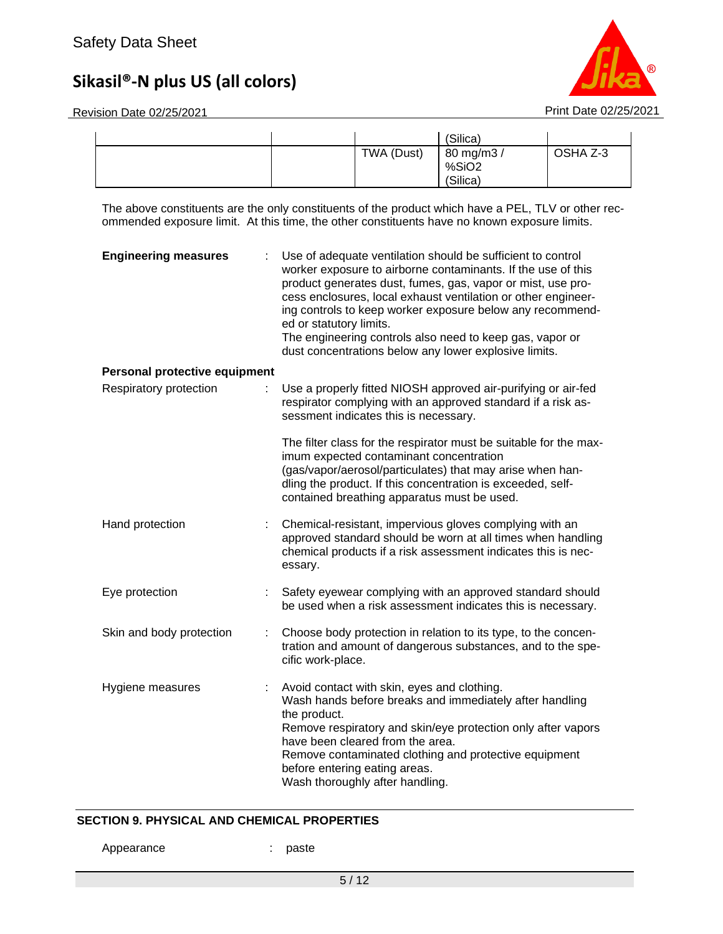Revision Date 02/25/2021 **Print Date 02/25/2021** 



|  |            | (Silica)            |          |
|--|------------|---------------------|----------|
|  | TWA (Dust) | 80 mg/m3 /<br>%SiO2 | OSHA Z-3 |
|  |            | (Silica)            |          |

The above constituents are the only constituents of the product which have a PEL, TLV or other recommended exposure limit. At this time, the other constituents have no known exposure limits.

| <b>Engineering measures</b>   | Use of adequate ventilation should be sufficient to control<br>worker exposure to airborne contaminants. If the use of this<br>product generates dust, fumes, gas, vapor or mist, use pro-<br>cess enclosures, local exhaust ventilation or other engineer-<br>ing controls to keep worker exposure below any recommend-<br>ed or statutory limits.<br>The engineering controls also need to keep gas, vapor or<br>dust concentrations below any lower explosive limits. |
|-------------------------------|--------------------------------------------------------------------------------------------------------------------------------------------------------------------------------------------------------------------------------------------------------------------------------------------------------------------------------------------------------------------------------------------------------------------------------------------------------------------------|
| Personal protective equipment |                                                                                                                                                                                                                                                                                                                                                                                                                                                                          |
| Respiratory protection        | Use a properly fitted NIOSH approved air-purifying or air-fed<br>respirator complying with an approved standard if a risk as-<br>sessment indicates this is necessary.                                                                                                                                                                                                                                                                                                   |
|                               | The filter class for the respirator must be suitable for the max-<br>imum expected contaminant concentration<br>(gas/vapor/aerosol/particulates) that may arise when han-<br>dling the product. If this concentration is exceeded, self-<br>contained breathing apparatus must be used.                                                                                                                                                                                  |
| Hand protection<br>÷.         | Chemical-resistant, impervious gloves complying with an<br>approved standard should be worn at all times when handling<br>chemical products if a risk assessment indicates this is nec-<br>essary.                                                                                                                                                                                                                                                                       |
| Eye protection                | Safety eyewear complying with an approved standard should<br>be used when a risk assessment indicates this is necessary.                                                                                                                                                                                                                                                                                                                                                 |
| Skin and body protection<br>÷ | Choose body protection in relation to its type, to the concen-<br>tration and amount of dangerous substances, and to the spe-<br>cific work-place.                                                                                                                                                                                                                                                                                                                       |
| Hygiene measures<br>÷         | Avoid contact with skin, eyes and clothing.<br>Wash hands before breaks and immediately after handling<br>the product.<br>Remove respiratory and skin/eye protection only after vapors<br>have been cleared from the area.<br>Remove contaminated clothing and protective equipment<br>before entering eating areas.<br>Wash thoroughly after handling.                                                                                                                  |

### **SECTION 9. PHYSICAL AND CHEMICAL PROPERTIES**

Appearance : paste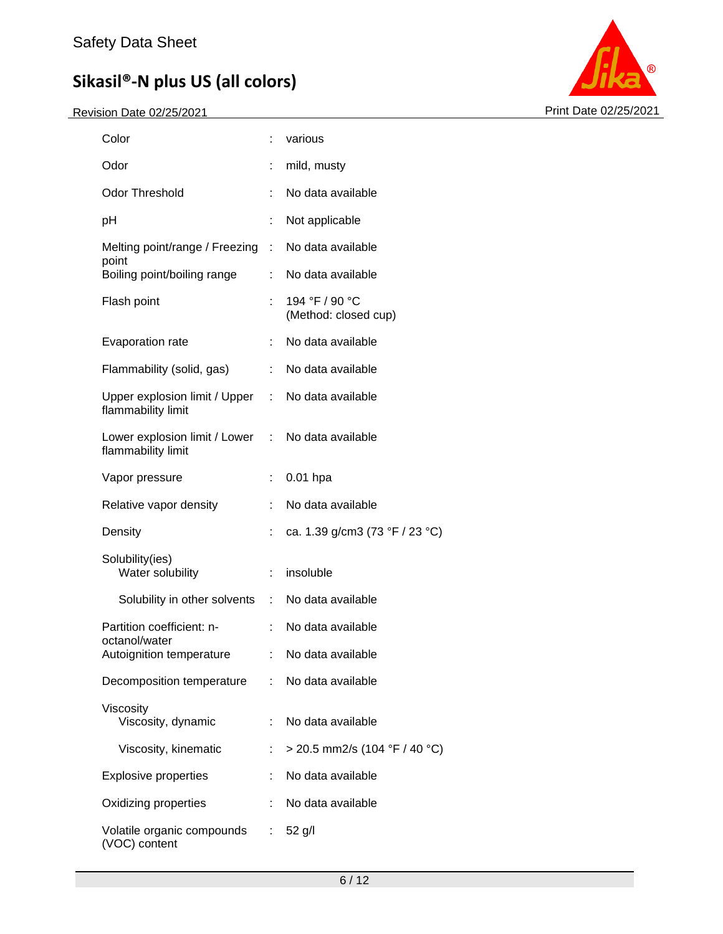

| Color                                                                   |                | various                                |
|-------------------------------------------------------------------------|----------------|----------------------------------------|
| Odor                                                                    |                | mild, musty                            |
| <b>Odor Threshold</b>                                                   | t.             | No data available                      |
| рH                                                                      | ÷              | Not applicable                         |
| Melting point/range / Freezing                                          | $\sim 10^{-1}$ | No data available                      |
| point<br>Boiling point/boiling range                                    |                | : No data available                    |
| Flash point                                                             |                | 194 °F / 90 °C<br>(Method: closed cup) |
| Evaporation rate                                                        |                | No data available                      |
| Flammability (solid, gas)                                               | t.             | No data available                      |
| Upper explosion limit / Upper : No data available<br>flammability limit |                |                                        |
| Lower explosion limit / Lower : No data available<br>flammability limit |                |                                        |
| Vapor pressure                                                          |                | $0.01$ hpa                             |
| Relative vapor density                                                  | ÷              | No data available                      |
| Density                                                                 | t.             | ca. 1.39 g/cm3 (73 °F / 23 °C)         |
| Solubility(ies)<br>Water solubility                                     | t.             | insoluble                              |
| Solubility in other solvents : No data available                        |                |                                        |
| Partition coefficient: n-                                               |                | : No data available                    |
| octanol/water<br>Autoignition temperature                               |                | : No data available                    |
| Decomposition temperature                                               | t.             | No data available                      |
| Viscosity<br>Viscosity, dynamic                                         | ÷.             | No data available                      |
| Viscosity, kinematic                                                    | t.             | > 20.5 mm2/s (104 °F / 40 °C)          |
| <b>Explosive properties</b>                                             |                | No data available                      |
| Oxidizing properties                                                    |                | No data available                      |
| Volatile organic compounds<br>(VOC) content                             | t.             | $52$ g/l                               |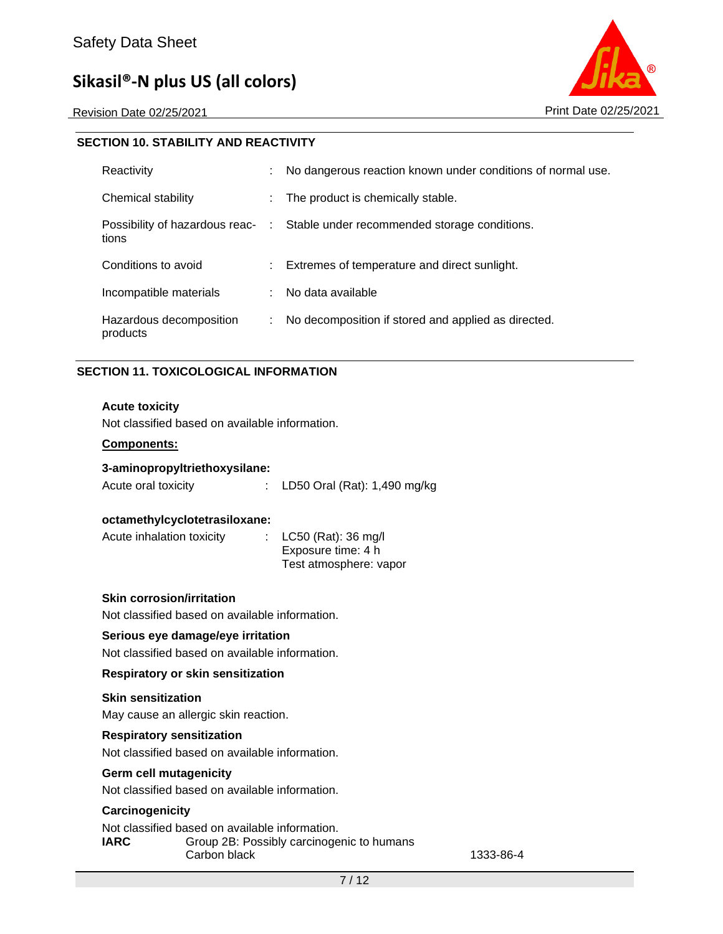Revision Date 02/25/2021 **Print Date 02/25/2021** 



| <b>SECTION 10. STABILITY AND REACTIVITY</b> |    |                                                                               |
|---------------------------------------------|----|-------------------------------------------------------------------------------|
| Reactivity                                  | ÷. | No dangerous reaction known under conditions of normal use.                   |
| Chemical stability                          |    | The product is chemically stable.                                             |
| tions                                       |    | Possibility of hazardous reac- : Stable under recommended storage conditions. |
| Conditions to avoid                         |    | : Extremes of temperature and direct sunlight.                                |
| Incompatible materials                      |    | No data available                                                             |
| Hazardous decomposition<br>products         | ÷. | No decomposition if stored and applied as directed.                           |

### **SECTION 11. TOXICOLOGICAL INFORMATION**

### **Acute toxicity**

Not classified based on available information.

#### **Components:**

Acute oral toxicity : LD50 Oral (Rat): 1,490 mg/kg

#### **octamethylcyclotetrasiloxane:**

| Acute inhalation toxicity | : $LC50$ (Rat): 36 mg/l |
|---------------------------|-------------------------|
|                           | Exposure time: 4 h      |
|                           | Test atmosphere: vapor  |

#### **Skin corrosion/irritation**

Not classified based on available information.

### **Serious eye damage/eye irritation**

Not classified based on available information.

#### **Respiratory or skin sensitization**

#### **Skin sensitization**

May cause an allergic skin reaction.

### **Respiratory sensitization**

Not classified based on available information.

#### **Germ cell mutagenicity**

Not classified based on available information.

#### **Carcinogenicity**

Not classified based on available information. **IARC** Group 2B: Possibly carcinogenic to humans Carbon black 1333-86-4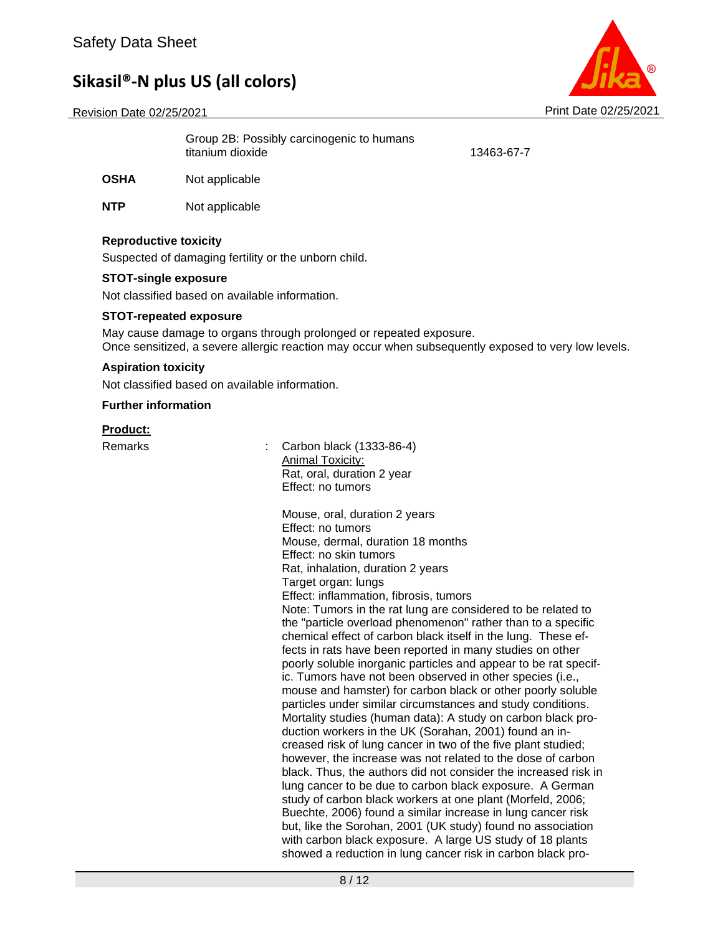Revision Date 02/25/2021 **Print Date 02/25/2021** Print Date 02/25/2021



Group 2B: Possibly carcinogenic to humans titanium dioxide 13463-67-7

**OSHA** Not applicable

**NTP** Not applicable

### **Reproductive toxicity**

Suspected of damaging fertility or the unborn child.

### **STOT-single exposure**

Not classified based on available information.

### **STOT-repeated exposure**

May cause damage to organs through prolonged or repeated exposure. Once sensitized, a severe allergic reaction may occur when subsequently exposed to very low levels.

### **Aspiration toxicity**

Not classified based on available information.

### **Further information**

### **Product:**

Remarks : Carbon black (1333-86-4) **Animal Toxicity:** Rat, oral, duration 2 year Effect: no tumors

> Mouse, oral, duration 2 years Effect: no tumors Mouse, dermal, duration 18 months Effect: no skin tumors Rat, inhalation, duration 2 years Target organ: lungs Effect: inflammation, fibrosis, tumors Note: Tumors in the rat lung are considered to be related to the "particle overload phenomenon" rather than to a specific chemical effect of carbon black itself in the lung. These effects in rats have been reported in many studies on other poorly soluble inorganic particles and appear to be rat specific. Tumors have not been observed in other species (i.e., mouse and hamster) for carbon black or other poorly soluble particles under similar circumstances and study conditions. Mortality studies (human data): A study on carbon black production workers in the UK (Sorahan, 2001) found an increased risk of lung cancer in two of the five plant studied; however, the increase was not related to the dose of carbon black. Thus, the authors did not consider the increased risk in lung cancer to be due to carbon black exposure. A German study of carbon black workers at one plant (Morfeld, 2006; Buechte, 2006) found a similar increase in lung cancer risk but, like the Sorohan, 2001 (UK study) found no association with carbon black exposure. A large US study of 18 plants showed a reduction in lung cancer risk in carbon black pro-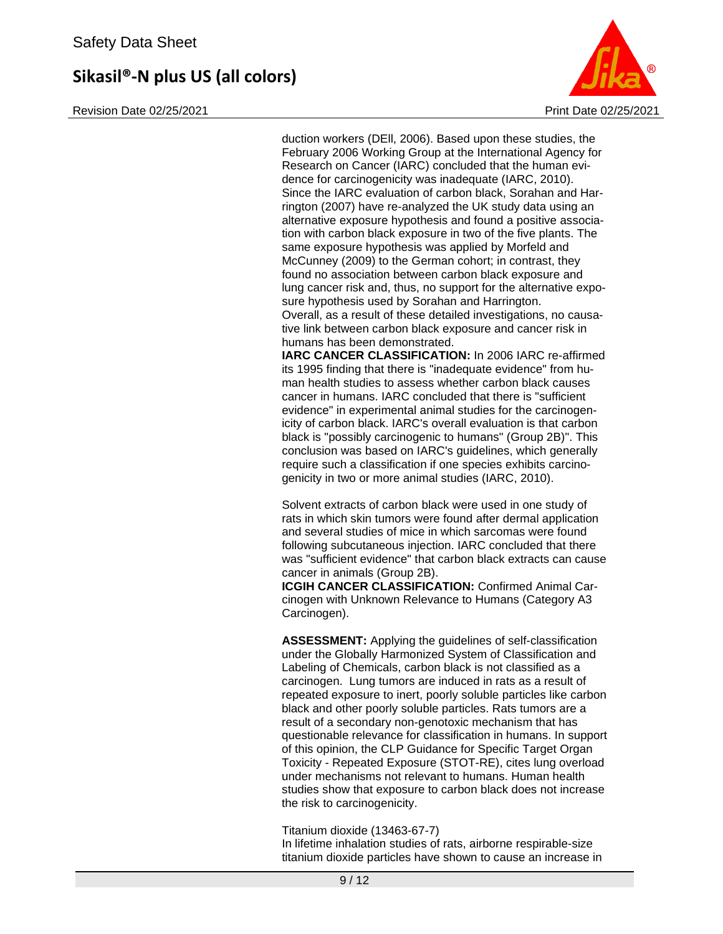Revision Date 02/25/2021 **Print Date 02/25/2021** Print Date 02/25/2021



duction workers (DEll, 2006). Based upon these studies, the February 2006 Working Group at the International Agency for Research on Cancer (IARC) concluded that the human evidence for carcinogenicity was inadequate (IARC, 2010). Since the IARC evaluation of carbon black, Sorahan and Harrington (2007) have re-analyzed the UK study data using an alternative exposure hypothesis and found a positive association with carbon black exposure in two of the five plants. The same exposure hypothesis was applied by Morfeld and McCunney (2009) to the German cohort; in contrast, they found no association between carbon black exposure and lung cancer risk and, thus, no support for the alternative exposure hypothesis used by Sorahan and Harrington. Overall, as a result of these detailed investigations, no causative link between carbon black exposure and cancer risk in humans has been demonstrated.

**IARC CANCER CLASSIFICATION:** In 2006 IARC re-affirmed its 1995 finding that there is "inadequate evidence" from human health studies to assess whether carbon black causes cancer in humans. IARC concluded that there is "sufficient evidence" in experimental animal studies for the carcinogenicity of carbon black. IARC's overall evaluation is that carbon black is "possibly carcinogenic to humans" (Group 2B)". This conclusion was based on IARC's guidelines, which generally require such a classification if one species exhibits carcinogenicity in two or more animal studies (IARC, 2010).

Solvent extracts of carbon black were used in one study of rats in which skin tumors were found after dermal application and several studies of mice in which sarcomas were found following subcutaneous injection. IARC concluded that there was "sufficient evidence" that carbon black extracts can cause cancer in animals (Group 2B).

**ICGIH CANCER CLASSIFICATION:** Confirmed Animal Carcinogen with Unknown Relevance to Humans (Category A3 Carcinogen).

**ASSESSMENT:** Applying the guidelines of self-classification under the Globally Harmonized System of Classification and Labeling of Chemicals, carbon black is not classified as a carcinogen. Lung tumors are induced in rats as a result of repeated exposure to inert, poorly soluble particles like carbon black and other poorly soluble particles. Rats tumors are a result of a secondary non-genotoxic mechanism that has questionable relevance for classification in humans. In support of this opinion, the CLP Guidance for Specific Target Organ Toxicity - Repeated Exposure (STOT-RE), cites lung overload under mechanisms not relevant to humans. Human health studies show that exposure to carbon black does not increase the risk to carcinogenicity.

Titanium dioxide (13463-67-7)

In lifetime inhalation studies of rats, airborne respirable-size titanium dioxide particles have shown to cause an increase in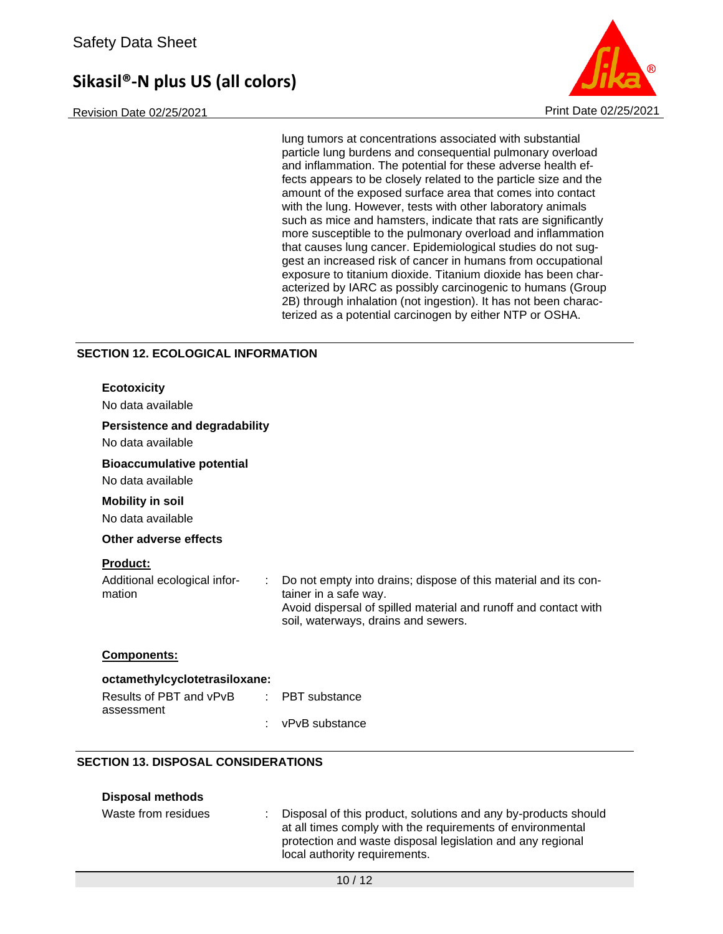Revision Date 02/25/2021 Print Date 02/25/2021



lung tumors at concentrations associated with substantial particle lung burdens and consequential pulmonary overload and inflammation. The potential for these adverse health effects appears to be closely related to the particle size and the amount of the exposed surface area that comes into contact with the lung. However, tests with other laboratory animals such as mice and hamsters, indicate that rats are significantly more susceptible to the pulmonary overload and inflammation that causes lung cancer. Epidemiological studies do not suggest an increased risk of cancer in humans from occupational exposure to titanium dioxide. Titanium dioxide has been characterized by IARC as possibly carcinogenic to humans (Group 2B) through inhalation (not ingestion). It has not been characterized as a potential carcinogen by either NTP or OSHA.

### **SECTION 12. ECOLOGICAL INFORMATION**

| <b>Ecotoxicity</b><br>No data available                   |                                                                                                                                                                                                    |  |
|-----------------------------------------------------------|----------------------------------------------------------------------------------------------------------------------------------------------------------------------------------------------------|--|
| <b>Persistence and degradability</b><br>No data available |                                                                                                                                                                                                    |  |
| <b>Bioaccumulative potential</b><br>No data available     |                                                                                                                                                                                                    |  |
| <b>Mobility in soil</b><br>No data available              |                                                                                                                                                                                                    |  |
| Other adverse effects                                     |                                                                                                                                                                                                    |  |
| Product:<br>Additional ecological infor-<br>mation        | Do not empty into drains; dispose of this material and its con-<br>tainer in a safe way.<br>Avoid dispersal of spilled material and runoff and contact with<br>soil, waterways, drains and sewers. |  |
| <b>Components:</b>                                        |                                                                                                                                                                                                    |  |
| octamethylcyclotetrasiloxane:                             |                                                                                                                                                                                                    |  |
| Results of PBT and vPvB<br>assessment                     | <b>PBT</b> substance<br>÷                                                                                                                                                                          |  |
|                                                           | vPvB substance                                                                                                                                                                                     |  |
| <b>SECTION 13. DISPOSAL CONSIDERATIONS</b>                |                                                                                                                                                                                                    |  |

### **Disposal methods**

| Waste from residues | Disposal of this product, solutions and any by-products should<br>at all times comply with the requirements of environmental<br>protection and waste disposal legislation and any regional<br>local authority requirements. |
|---------------------|-----------------------------------------------------------------------------------------------------------------------------------------------------------------------------------------------------------------------------|
|                     |                                                                                                                                                                                                                             |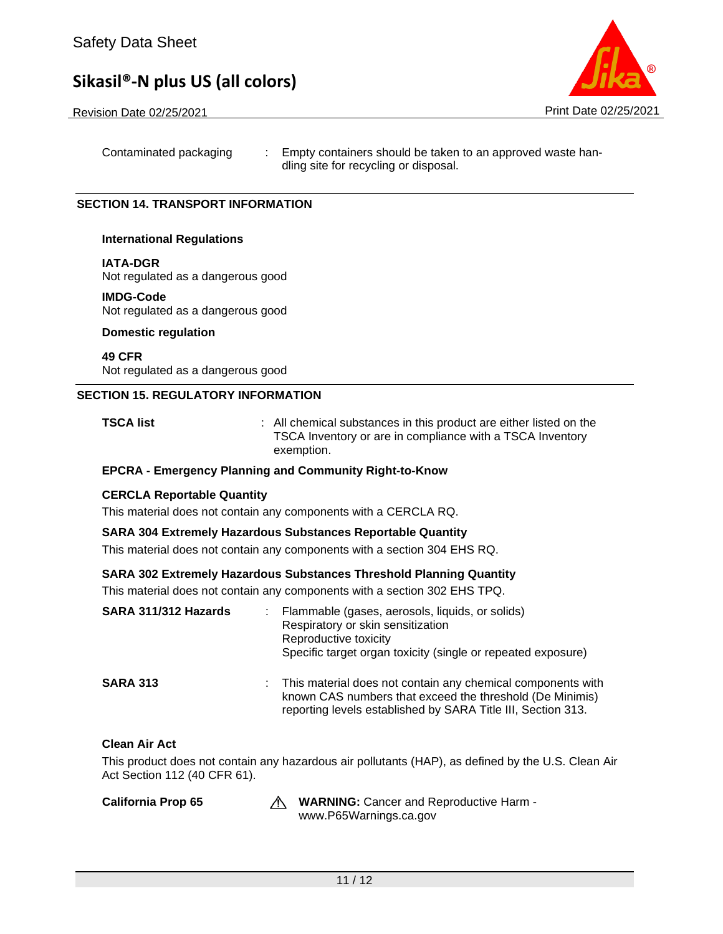Revision Date 02/25/2021 **Print Date 02/25/2021** Print Date 02/25/2021

Contaminated packaging : Empty containers should be taken to an approved waste handling site for recycling or disposal.

### **SECTION 14. TRANSPORT INFORMATION**

### **International Regulations**

### **IATA-DGR**

Not regulated as a dangerous good

### **IMDG-Code**

Not regulated as a dangerous good

### **Domestic regulation**

**49 CFR** Not regulated as a dangerous good

### **SECTION 15. REGULATORY INFORMATION**

**TSCA list EXECA list 1 COLLEGATA** : All chemical substances in this product are either listed on the TSCA Inventory or are in compliance with a TSCA Inventory exemption.

### **EPCRA - Emergency Planning and Community Right-to-Know**

### **CERCLA Reportable Quantity**

This material does not contain any components with a CERCLA RQ.

### **SARA 304 Extremely Hazardous Substances Reportable Quantity**

This material does not contain any components with a section 304 EHS RQ.

### **SARA 302 Extremely Hazardous Substances Threshold Planning Quantity**

This material does not contain any components with a section 302 EHS TPQ.

| SARA 311/312 Hazards |    | Flammable (gases, aerosols, liquids, or solids)<br>Respiratory or skin sensitization<br>Reproductive toxicity<br>Specific target organ toxicity (single or repeated exposure)           |
|----------------------|----|-----------------------------------------------------------------------------------------------------------------------------------------------------------------------------------------|
| <b>SARA 313</b>      | t. | This material does not contain any chemical components with<br>known CAS numbers that exceed the threshold (De Minimis)<br>reporting levels established by SARA Title III, Section 313. |

### **Clean Air Act**

This product does not contain any hazardous air pollutants (HAP), as defined by the U.S. Clean Air Act Section 112 (40 CFR 61).

California Prop 65 **WARNING:** Cancer and Reproductive Harm www.P65Warnings.ca.gov